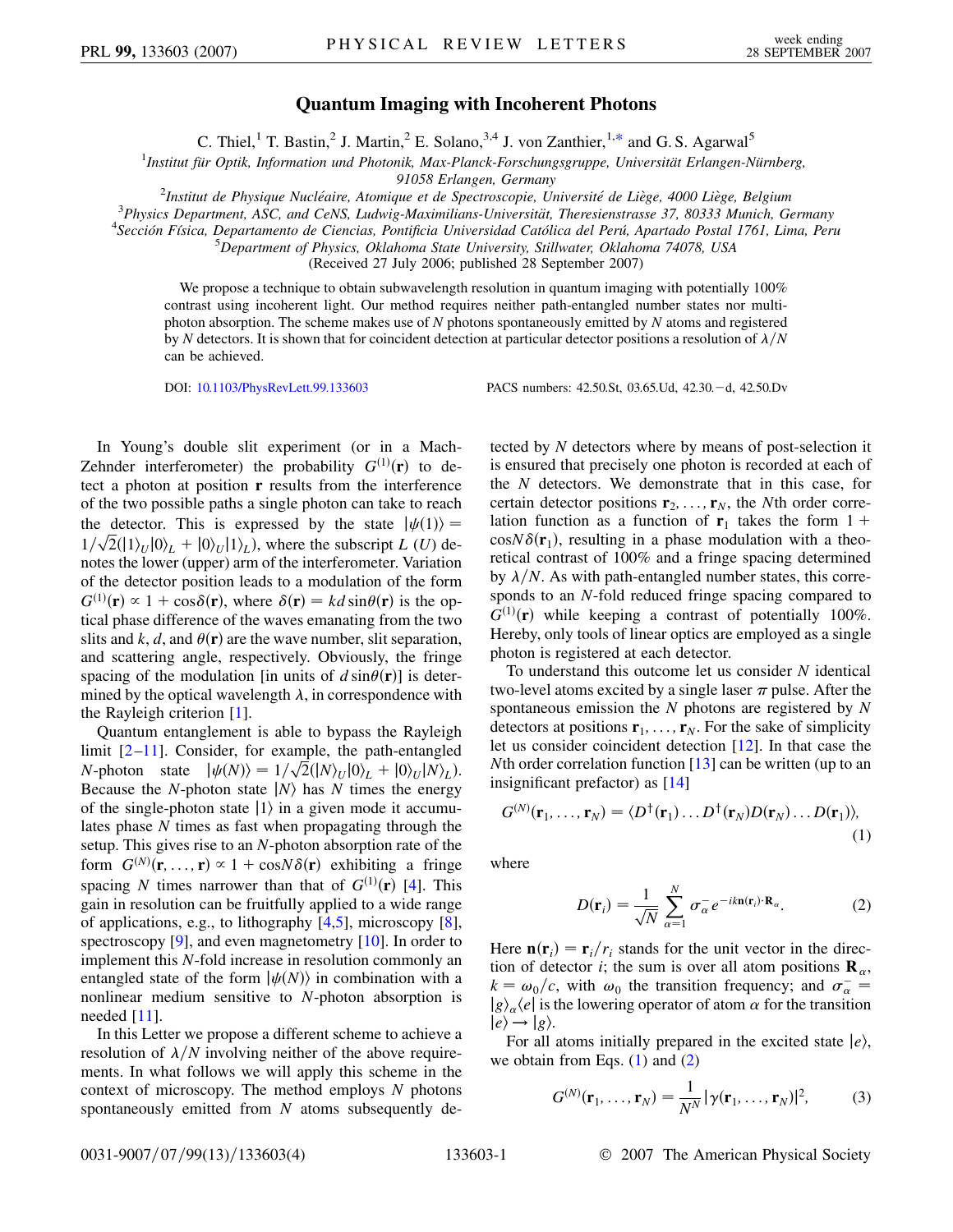## **Quantum Imaging with Incoherent Photons**

C. Thiel,<sup>1</sup> T. Bastin,<sup>2</sup> J. Martin,<sup>2</sup> E. Solano,<sup>3,4</sup> J. von Zanthier,<sup>1[,\\*](#page-3-0)</sup> and G. S. Agarwal<sup>5</sup>

<span id="page-0-3"></span><sup>1</sup>Institut für Optik, Information und Photonik, Max-Planck-Forschungsgruppe, Universität Erlangen-Nürnberg,

*91058 Erlangen, Germany* <sup>2</sup>

*Institut de Physique Nucle´aire, Atomique et de Spectroscopie, Universite´ de Lie`ge, 4000 Lie`ge, Belgium* <sup>3</sup>

<sup>3</sup> Physics Department, ASC, and CeNS, Ludwig-Maximilians-Universität, Theresienstrasse 37, 80333 Munich, Germany

<sup>4</sup> Sección Física, Departamento de Ciencias, Pontificia Universidad Católica del Perú, Apartado Postal 1761, Lima, Peru

*Department of Physics, Oklahoma State University, Stillwater, Oklahoma 74078, USA*

(Received 27 July 2006; published 28 September 2007)

We propose a technique to obtain subwavelength resolution in quantum imaging with potentially 100% contrast using incoherent light. Our method requires neither path-entangled number states nor multiphoton absorption. The scheme makes use of *N* photons spontaneously emitted by *N* atoms and registered by *N* detectors. It is shown that for coincident detection at particular detector positions a resolution of  $\lambda/N$ can be achieved.

DOI: [10.1103/PhysRevLett.99.133603](http://dx.doi.org/10.1103/PhysRevLett.99.133603) PACS numbers: 42.50.St, 03.65.Ud, 42.30.-d, 42.50.Dv

In Young's double slit experiment (or in a Mach-Zehnder interferometer) the probability  $G^{(1)}(\mathbf{r})$  to detect a photon at position **r** results from the interference of the two possible paths a single photon can take to reach the detector. This is expressed by the state  $|\psi(1)\rangle =$ the detector. This is expressed by the state  $|\psi(1)\rangle = 1/\sqrt{2}(|1\rangle_U|0\rangle_L + |0\rangle_U|1\rangle_L)$ , where the subscript *L* (*U*) denotes the lower (upper) arm of the interferometer. Variation of the detector position leads to a modulation of the form  $G^{(1)}(\mathbf{r}) \propto 1 + \cos\delta(\mathbf{r})$ , where  $\delta(\mathbf{r}) = kd \sin\theta(\mathbf{r})$  is the optical phase difference of the waves emanating from the two slits and  $k$ ,  $d$ , and  $\theta(\mathbf{r})$  are the wave number, slit separation, and scattering angle, respectively. Obviously, the fringe spacing of the modulation [in units of  $d \sin\theta(\mathbf{r})$ ] is determined by the optical wavelength  $\lambda$ , in correspondence with the Rayleigh criterion [[1](#page-3-1)].

Quantum entanglement is able to bypass the Rayleigh limit [\[2](#page-3-2)–[11\]](#page-3-3). Consider, for example, the path-entangled  $N$ -photon state  $|\psi(N)\rangle = 1/\sqrt{2}(|N\rangle_U|0\rangle_L + |0\rangle_U|N\rangle_L$ . Because the *N*-photon state  $|N\rangle$  has *N* times the energy of the single-photon state  $|1\rangle$  in a given mode it accumulates phase *N* times as fast when propagating through the setup. This gives rise to an *N*-photon absorption rate of the form  $G^{(N)}(\mathbf{r},...,\mathbf{r}) \propto 1 + \cos(N\delta(\mathbf{r}))$  exhibiting a fringe spacing *N* times narrower than that of  $G^{(1)}(\mathbf{r})$  [[4\]](#page-3-4). This gain in resolution can be fruitfully applied to a wide range of applications, e.g., to lithography [[4,](#page-3-4)[5\]](#page-3-5), microscopy [[8\]](#page-3-6), spectroscopy  $[9]$  $[9]$ , and even magnetometry  $[10]$  $[10]$ . In order to implement this *N*-fold increase in resolution commonly an entangled state of the form  $|\psi(N)\rangle$  in combination with a nonlinear medium sensitive to *N*-photon absorption is needed [\[11\]](#page-3-3).

In this Letter we propose a different scheme to achieve a resolution of  $\lambda/N$  involving neither of the above requirements. In what follows we will apply this scheme in the context of microscopy. The method employs *N* photons spontaneously emitted from *N* atoms subsequently detected by *N* detectors where by means of post-selection it is ensured that precisely one photon is recorded at each of the *N* detectors. We demonstrate that in this case, for certain detector positions  $\mathbf{r}_2$ , ...,  $\mathbf{r}_N$ , the *N*th order correlation function as a function of  $\mathbf{r}_1$  takes the form 1 +  $\cos N\delta(\mathbf{r}_1)$ , resulting in a phase modulation with a theoretical contrast of 100% and a fringe spacing determined by  $\lambda/N$ . As with path-entangled number states, this corresponds to an *N*-fold reduced fringe spacing compared to  $G^{(1)}(\mathbf{r})$  while keeping a contrast of potentially 100%. Hereby, only tools of linear optics are employed as a single photon is registered at each detector.

To understand this outcome let us consider *N* identical two-level atoms excited by a single laser  $\pi$  pulse. After the spontaneous emission the *N* photons are registered by *N* detectors at positions  $\mathbf{r}_1, \ldots, \mathbf{r}_N$ . For the sake of simplicity let us consider coincident detection [[12](#page-3-9)]. In that case the *N*th order correlation function [\[13\]](#page-3-10) can be written (up to an insignificant prefactor) as [\[14\]](#page-3-11)

<span id="page-0-0"></span>
$$
G^{(N)}(\mathbf{r}_1,\ldots,\mathbf{r}_N)=\langle D^{\dagger}(\mathbf{r}_1)\ldots D^{\dagger}(\mathbf{r}_N)D(\mathbf{r}_N)\ldots D(\mathbf{r}_1)\rangle,
$$
\n(1)

<span id="page-0-1"></span>where

$$
D(\mathbf{r}_i) = \frac{1}{\sqrt{N}} \sum_{\alpha=1}^{N} \sigma_{\alpha}^{-} e^{-ik \mathbf{n}(\mathbf{r}_i) \cdot \mathbf{R}_{\alpha}}.
$$
 (2)

Here  $\mathbf{n}(\mathbf{r}_i) = \mathbf{r}_i/r_i$  stands for the unit vector in the direction of detector *i*; the sum is over all atom positions  $\mathbf{R}_{\alpha}$ ,  $k = \omega_0/c$ , with  $\omega_0$  the transition frequency; and  $\sigma_{\alpha}^ |g\rangle_{\alpha}$  /*e* is the lowering operator of atom  $\alpha$  for the transition  $|e\rangle \rightarrow |g\rangle$ .

<span id="page-0-2"></span>For all atoms initially prepared in the excited state  $|e\rangle$ , we obtain from Eqs.  $(1)$  $(1)$  and  $(2)$  $(2)$ 

$$
G^{(N)}(\mathbf{r}_1,\ldots,\mathbf{r}_N)=\frac{1}{N^N}|\gamma(\mathbf{r}_1,\ldots,\mathbf{r}_N)|^2,
$$
 (3)

0031-9007/07/99(13)/133603(4) 133603-1 © 2007 The American Physical Society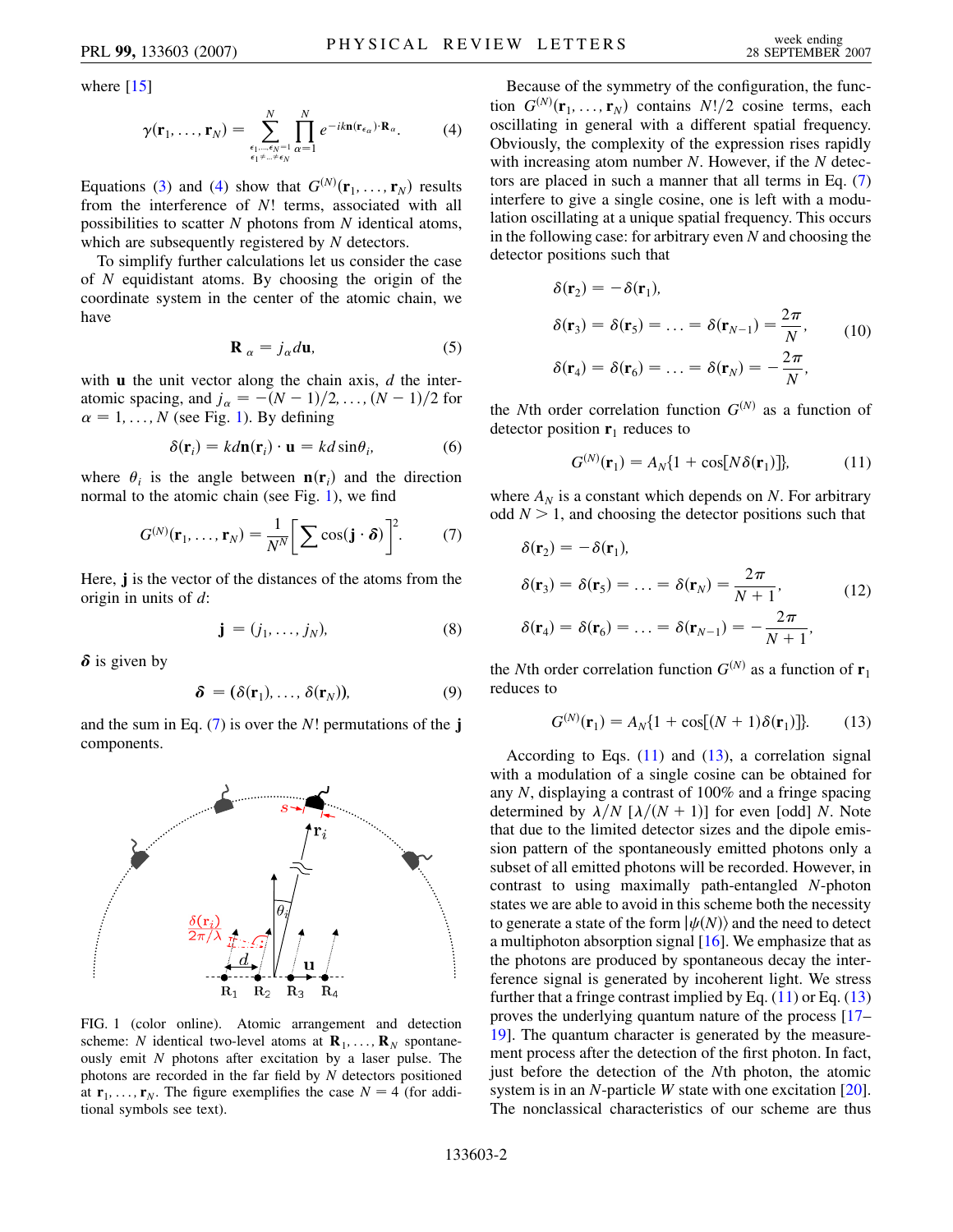<span id="page-1-0"></span>where  $[15]$ 

$$
\gamma(\mathbf{r}_1, \ldots, \mathbf{r}_N) = \sum_{\substack{\epsilon_1, \ldots, \epsilon_N = 1 \\ \epsilon_1 \neq \ldots \neq \epsilon_N}}^N \prod_{\alpha=1}^N e^{-ik \mathbf{n} (\mathbf{r}_{\epsilon_\alpha}) \cdot \mathbf{R}_\alpha}.
$$
 (4)

Equations ([3](#page-0-2)) and [\(4](#page-1-0)) show that  $G^{(N)}(\mathbf{r}_1, \ldots, \mathbf{r}_N)$  results from the interference of *N*! terms, associated with all possibilities to scatter *N* photons from *N* identical atoms, which are subsequently registered by *N* detectors.

To simplify further calculations let us consider the case of *N* equidistant atoms. By choosing the origin of the coordinate system in the center of the atomic chain, we have

$$
\mathbf{R}_{\alpha} = j_{\alpha} d\mathbf{u},\tag{5}
$$

<span id="page-1-6"></span>with **u** the unit vector along the chain axis, *d* the interatomic spacing, and  $j_{\alpha} = -(N-1)/2, ..., (N-1)/2$  for  $\alpha = 1, \ldots, N$  $\alpha = 1, \ldots, N$  $\alpha = 1, \ldots, N$  (see Fig. 1). By defining

$$
\delta(\mathbf{r}_i) = k d\mathbf{n}(\mathbf{r}_i) \cdot \mathbf{u} = k d \sin \theta_i, \tag{6}
$$

<span id="page-1-2"></span>where  $\theta_i$  is the angle between  $\mathbf{n}(\mathbf{r}_i)$  and the direction normal to the atomic chain (see Fig. [1\)](#page-1-1), we find

$$
G^{(N)}(\mathbf{r}_1,\ldots,\mathbf{r}_N)=\frac{1}{N^N}\bigg[\sum\cos(\mathbf{j}\cdot\boldsymbol{\delta})\bigg]^2.\qquad(7)
$$

Here, **j** is the vector of the distances of the atoms from the origin in units of *d*:

$$
\mathbf{j} = (j_1, \dots, j_N), \tag{8}
$$

 $\delta$  is given by

$$
\delta = (\delta(\mathbf{r}_1), \ldots, \delta(\mathbf{r}_N)), \tag{9}
$$

and the sum in Eq. [\(7\)](#page-1-2) is over the *N*! permutations of the **j** components.

<span id="page-1-1"></span>

FIG. 1 (color online). Atomic arrangement and detection scheme: *N* identical two-level atoms at  $\mathbf{R}_1, \ldots, \mathbf{R}_N$  spontaneously emit *N* photons after excitation by a laser pulse. The photons are recorded in the far field by *N* detectors positioned at  $\mathbf{r}_1, \ldots, \mathbf{r}_N$ . The figure exemplifies the case  $N = 4$  (for additional symbols see text).

Because of the symmetry of the configuration, the func- $G^{(N)}(\mathbf{r}_1, \ldots, \mathbf{r}_N)$  contains  $N!/2$  cosine terms, each oscillating in general with a different spatial frequency. Obviously, the complexity of the expression rises rapidly with increasing atom number *N*. However, if the *N* detectors are placed in such a manner that all terms in Eq. [\(7\)](#page-1-2) interfere to give a single cosine, one is left with a modulation oscillating at a unique spatial frequency. This occurs in the following case: for arbitrary even *N* and choosing the detector positions such that

<span id="page-1-5"></span>
$$
\delta(\mathbf{r}_2) = -\delta(\mathbf{r}_1),
$$
  
\n
$$
\delta(\mathbf{r}_3) = \delta(\mathbf{r}_5) = \dots = \delta(\mathbf{r}_{N-1}) = \frac{2\pi}{N},
$$
  
\n
$$
\delta(\mathbf{r}_4) = \delta(\mathbf{r}_6) = \dots = \delta(\mathbf{r}_N) = -\frac{2\pi}{N},
$$
\n(10)

<span id="page-1-3"></span>the *N*th order correlation function  $G^{(N)}$  as a function of detector position  $\mathbf{r}_1$  reduces to

$$
G^{(N)}(\mathbf{r}_1) = A_N \{ 1 + \cos[N\delta(\mathbf{r}_1)] \},\tag{11}
$$

<span id="page-1-7"></span>where  $A_N$  is a constant which depends on *N*. For arbitrary odd  $N > 1$ , and choosing the detector positions such that

$$
\delta(\mathbf{r}_2) = -\delta(\mathbf{r}_1),
$$
  
\n
$$
\delta(\mathbf{r}_3) = \delta(\mathbf{r}_5) = \dots = \delta(\mathbf{r}_N) = \frac{2\pi}{N+1},
$$
  
\n
$$
\delta(\mathbf{r}_4) = \delta(\mathbf{r}_6) = \dots = \delta(\mathbf{r}_{N-1}) = -\frac{2\pi}{N+1},
$$
\n(12)

<span id="page-1-4"></span>the *N*th order correlation function  $G^{(N)}$  as a function of  $\mathbf{r}_1$ reduces to

$$
G^{(N)}(\mathbf{r}_1) = A_N \{ 1 + \cos[(N+1)\delta(\mathbf{r}_1)] \}.
$$
 (13)

According to Eqs.  $(11)$  and  $(13)$  $(13)$  $(13)$ , a correlation signal with a modulation of a single cosine can be obtained for any *N*, displaying a contrast of 100% and a fringe spacing determined by  $\lambda/N$  [ $\lambda/(N + 1)$ ] for even [odd] *N*. Note that due to the limited detector sizes and the dipole emission pattern of the spontaneously emitted photons only a subset of all emitted photons will be recorded. However, in contrast to using maximally path-entangled *N*-photon states we are able to avoid in this scheme both the necessity to generate a state of the form  $|\psi(N)\rangle$  and the need to detect a multiphoton absorption signal [\[16\]](#page-3-13). We emphasize that as the photons are produced by spontaneous decay the interference signal is generated by incoherent light. We stress further that a fringe contrast implied by Eq.  $(11)$  or Eq.  $(13)$ proves the underlying quantum nature of the process [\[17–](#page-3-14) [19](#page-3-15)]. The quantum character is generated by the measurement process after the detection of the first photon. In fact, just before the detection of the *N*th photon, the atomic system is in an *N*-particle *W* state with one excitation [[20\]](#page-3-16). The nonclassical characteristics of our scheme are thus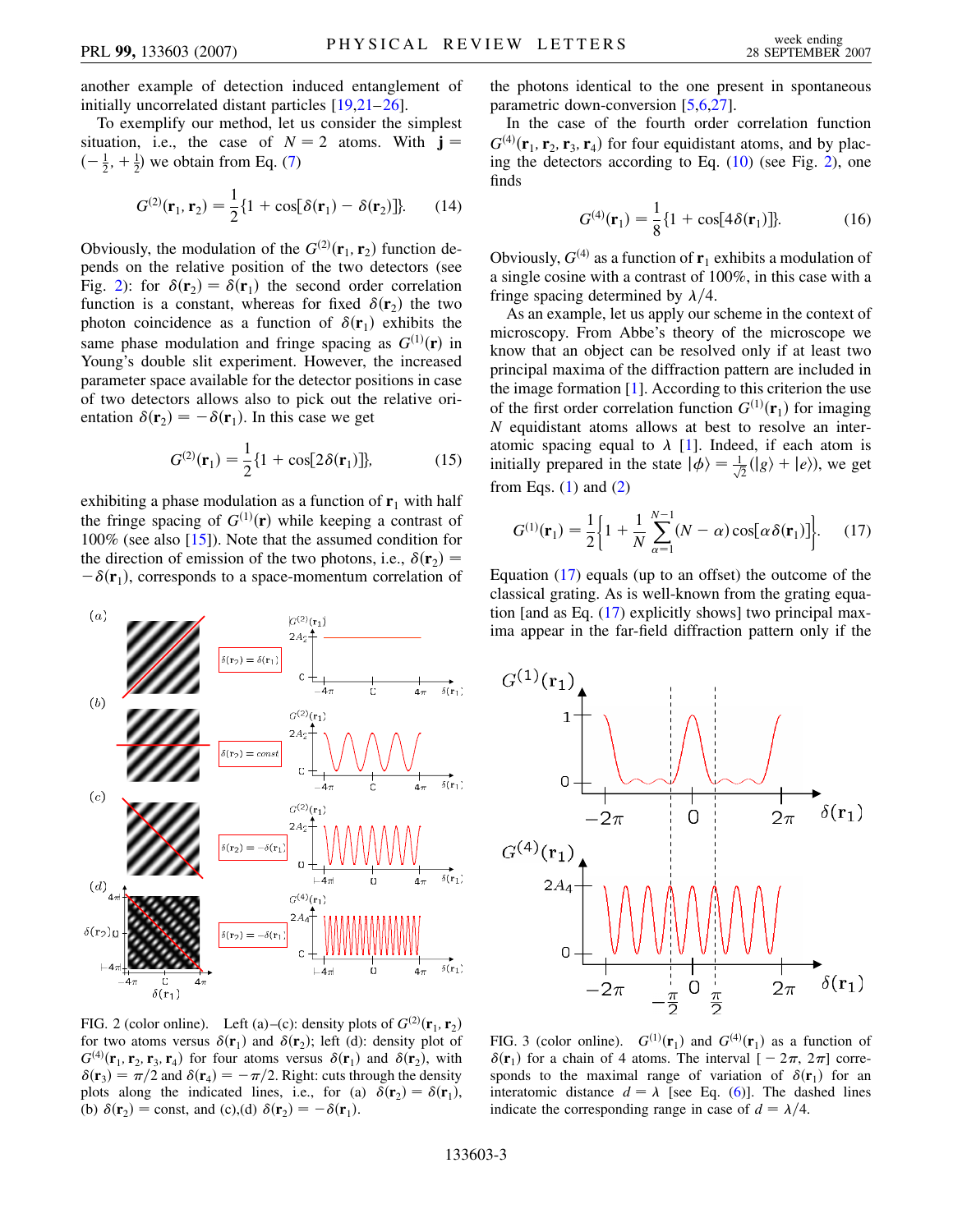another example of detection induced entanglement of initially uncorrelated distant particles [\[19](#page-3-15)[,21](#page-3-17)[–26\]](#page-3-18).

To exemplify our method, let us consider the simplest situation, i.e., the case of  $N = 2$  atoms. With  $\mathbf{j} =$  $\left(-\frac{1}{2}, +\frac{1}{2}\right)$  we obtain from Eq. ([7](#page-1-2))

$$
G^{(2)}(\mathbf{r}_1, \mathbf{r}_2) = \frac{1}{2} \{ 1 + \cos[\delta(\mathbf{r}_1) - \delta(\mathbf{r}_2)] \}.
$$
 (14)

Obviously, the modulation of the  $G^{(2)}(\mathbf{r}_1, \mathbf{r}_2)$  function depends on the relative position of the two detectors (see Fig. [2\)](#page-2-0): for  $\delta(\mathbf{r}_2) = \delta(\mathbf{r}_1)$  the second order correlation function is a constant, whereas for fixed  $\delta(\mathbf{r}_2)$  the two photon coincidence as a function of  $\delta(\mathbf{r}_1)$  exhibits the same phase modulation and fringe spacing as  $G^{(1)}(\mathbf{r})$  in Young's double slit experiment. However, the increased parameter space available for the detector positions in case of two detectors allows also to pick out the relative orientation  $\delta(\mathbf{r}_2) = -\delta(\mathbf{r}_1)$ . In this case we get

$$
G^{(2)}(\mathbf{r}_1) = \frac{1}{2} \{ 1 + \cos[2\delta(\mathbf{r}_1)] \},
$$
 (15)

exhibiting a phase modulation as a function of  $\mathbf{r}_1$  with half the fringe spacing of  $G^{(1)}(\mathbf{r})$  while keeping a contrast of 100% (see also [\[15\]](#page-3-12)). Note that the assumed condition for the direction of emission of the two photons, i.e.,  $\delta(\mathbf{r}_2)$  =  $-\delta(\mathbf{r}_1)$ , corresponds to a space-momentum correlation of

<span id="page-2-0"></span>

FIG. 2 (color online). Left (a)–(c): density plots of  $G^{(2)}(\mathbf{r}_1, \mathbf{r}_2)$ for two atoms versus  $\delta(\mathbf{r}_1)$  and  $\delta(\mathbf{r}_2)$ ; left (d): density plot of  $G^{(4)}(\mathbf{r}_1, \mathbf{r}_2, \mathbf{r}_3, \mathbf{r}_4)$  for four atoms versus  $\delta(\mathbf{r}_1)$  and  $\delta(\mathbf{r}_2)$ , with  $\delta(\mathbf{r}_3) = \pi/2$  and  $\delta(\mathbf{r}_4) = -\pi/2$ . Right: cuts through the density plots along the indicated lines, i.e., for (a)  $\delta(\mathbf{r}_2) = \delta(\mathbf{r}_1)$ , (b)  $\delta(\mathbf{r}_2) = \text{const}$ , and (c),(d)  $\delta(\mathbf{r}_2) = -\delta(\mathbf{r}_1)$ .

the photons identical to the one present in spontaneous parametric down-conversion [\[5,](#page-3-5)[6,](#page-3-19)[27\]](#page-3-20).

In the case of the fourth order correlation function  $G^{(4)}(\mathbf{r}_1, \mathbf{r}_2, \mathbf{r}_3, \mathbf{r}_4)$  for four equidistant atoms, and by placing the detectors according to Eq.  $(10)$  (see Fig. [2\)](#page-2-0), one finds

$$
G^{(4)}(\mathbf{r}_1) = \frac{1}{8} \{ 1 + \cos[4\delta(\mathbf{r}_1)] \}.
$$
 (16)

Obviously,  $G^{(4)}$  as a function of  $\mathbf{r}_1$  exhibits a modulation of a single cosine with a contrast of 100%, in this case with a fringe spacing determined by  $\lambda/4$ .

As an example, let us apply our scheme in the context of microscopy. From Abbe's theory of the microscope we know that an object can be resolved only if at least two principal maxima of the diffraction pattern are included in the image formation  $[1]$  $[1]$ . According to this criterion the use of the first order correlation function  $G^{(1)}(\mathbf{r}_1)$  for imaging *N* equidistant atoms allows at best to resolve an interatomic spacing equal to  $\lambda$  [\[1](#page-3-1)]. Indeed, if each atom is initially prepared in the state  $|\phi\rangle = \frac{1}{\sqrt{2}}(|g\rangle + |e\rangle)$ , we get from Eqs.  $(1)$  $(1)$  and  $(2)$  $(2)$ 

<span id="page-2-1"></span>
$$
G^{(1)}(\mathbf{r}_1) = \frac{1}{2} \left\{ 1 + \frac{1}{N} \sum_{\alpha=1}^{N-1} (N - \alpha) \cos[\alpha \delta(\mathbf{r}_1)] \right\}.
$$
 (17)

Equation ([17](#page-2-1)) equals (up to an offset) the outcome of the classical grating. As is well-known from the grating equation [and as Eq. [\(17](#page-2-1)) explicitly shows] two principal maxima appear in the far-field diffraction pattern only if the

<span id="page-2-2"></span>

FIG. 3 (color online).  $G^{(1)}(\mathbf{r}_1)$  and  $G^{(4)}(\mathbf{r}_1)$  as a function of  $\delta(\mathbf{r}_1)$  for a chain of 4 atoms. The interval  $[-2\pi, 2\pi]$  corresponds to the maximal range of variation of  $\delta(\mathbf{r}_1)$  for an interatomic distance  $d = \lambda$  [see Eq. ([6](#page-1-6))]. The dashed lines indicate the corresponding range in case of  $d = \lambda/4$ .